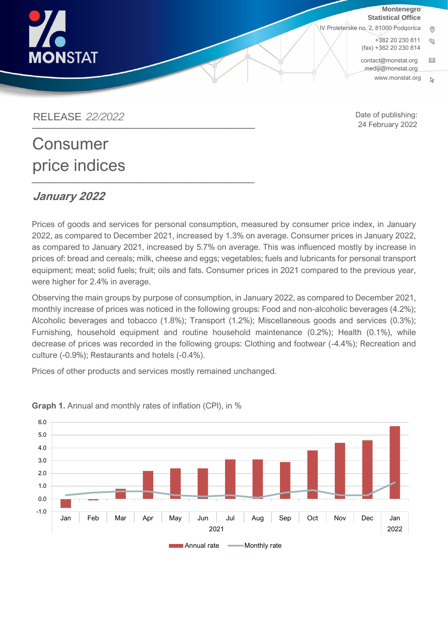

**Montenegro Statistical Office**

IV Proleterske no. 2, 81000 Podgorica

+382 20 230 811  $\mathcal{O}$ (fax) +382 20 230 814 [contact@monstat.org](mailto:contact@monstat.org)  $\boxtimes$ [mediji@monstat.org](mailto:mediji@monstat.org)

Date of publishing: 24 February 2022

www.[monstat](http://www.monstat.org/).org $\mathbb{R}$ 

RELEASE *22/2022*  \_\_\_\_\_\_\_\_\_\_\_\_\_\_\_\_\_\_\_\_\_\_\_\_\_\_\_\_\_\_\_\_\_\_\_\_\_\_

# **Consumer** price indices \_\_\_\_\_\_\_\_\_\_\_\_\_\_\_\_\_\_\_\_\_\_\_\_\_\_\_\_\_\_\_\_\_\_\_\_\_\_

## $L$

**January 2022** Prices of goods and services for personal consumption, measured by consumer price index, in January 2022, as compared to December 2021, increased by 1.3% on average. Consumer prices in January 2022, as compared to January 2021, increased by 5.7% on average. This was influenced mostly by increase in prices of: bread and cereals; milk, cheese and eggs; vegetables; fuels and lubricants for personal transport equipment; meat; solid fuels; fruit; oils and fats. Consumer prices in 2021 compared to the previous year,

were higher for 2.4% in average.

Observing the main groups by purpose of consumption, in January 2022, as compared to December 2021, monthly increase of prices was noticed in the following groups: Food and non-alcoholic beverages (4.2%); Alcoholic beverages and tobacco (1.8%); Transport (1.2%); Miscellaneous goods and services (0.3%); Furnishing, household equipment and routine household maintenance (0.2%); Health (0.1%), while decrease of prices was recorded in the following groups: Clothing and footwear (-4.4%); Recreation and culture (-0.9%); Restaurants and hotels (-0.4%).

Prices of other products and services mostly remained unchanged.



**Graph 1.** Annual and monthly rates of inflation (CPI), in %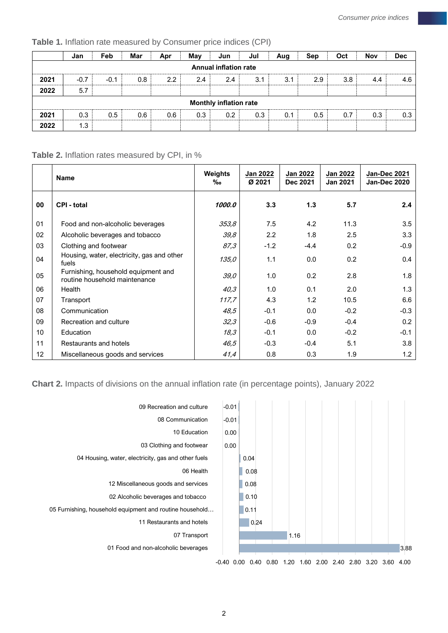**Table 1.** Inflation rate measured by Consumer price indices (CPI)

|      | Jan    | Feb    | Mar | Apr           | May | Jun                           | Jul | Aug | Sep | Oct | Nov | <b>Dec</b> |
|------|--------|--------|-----|---------------|-----|-------------------------------|-----|-----|-----|-----|-----|------------|
|      |        |        |     |               |     | <b>Annual inflation rate</b>  |     |     |     |     |     |            |
| 2021 | $-0.7$ | $-0.1$ | 0.8 | $2.2^{\circ}$ | 2.4 | 2.4                           | 3.1 | 3.1 | 2.9 | 3.8 | 4.4 | 4.6        |
| 2022 | 5.7    |        |     |               |     |                               |     |     |     |     |     |            |
|      |        |        |     |               |     | <b>Monthly inflation rate</b> |     |     |     |     |     |            |
| 2021 | 0.3    | 0.5    | 0.6 | 0.6           | 0.3 | 0.2                           | 0.3 | 0.1 | 0.5 | 0.7 | 0.3 | 0.3        |
| 2022 | 1.3    |        |     |               |     |                               |     |     |     |     |     |            |

#### **Table 2.** Inflation rates measured by CPI, in %

|    | <b>Name</b>                                                          | Weights<br>‰ | Jan 2022<br>Ø 2021 | Jan 2022<br>Dec 2021 | Jan 2022<br><b>Jan 2021</b> | Jan-Dec 2021<br><b>Jan-Dec 2020</b> |
|----|----------------------------------------------------------------------|--------------|--------------------|----------------------|-----------------------------|-------------------------------------|
| 00 | <b>CPI - total</b>                                                   | 1000.0       | 3.3                | 1.3                  | 5.7                         | 2.4                                 |
| 01 | Food and non-alcoholic beverages                                     | 353,8        | 7.5                | 4.2                  | 11.3                        | 3.5                                 |
| 02 | Alcoholic beverages and tobacco                                      | 39,8         | $2.2\phantom{0}$   | 1.8                  | 2.5                         | 3.3                                 |
| 03 | Clothing and footwear                                                | 87,3         | $-1.2$             | $-4.4$               | 0.2                         | $-0.9$                              |
| 04 | Housing, water, electricity, gas and other<br>fuels                  | 135,0        | 1.1                | 0.0                  | 0.2                         | 0.4                                 |
| 05 | Furnishing, household equipment and<br>routine household maintenance | 39,0         | 1.0                | 0.2                  | 2.8                         | 1.8                                 |
| 06 | Health                                                               | 40,3         | 1.0                | 0.1                  | 2.0                         | 1.3                                 |
| 07 | Transport                                                            | 117,7        | 4.3                | 1.2                  | 10.5                        | 6.6                                 |
| 08 | Communication                                                        | 48,5         | $-0.1$             | 0.0                  | $-0.2$                      | $-0.3$                              |
| 09 | Recreation and culture                                               | 32,3         | $-0.6$             | $-0.9$               | $-0.4$                      | 0.2                                 |
| 10 | Education                                                            | 18,3         | $-0.1$             | 0.0                  | $-0.2$                      | $-0.1$                              |
| 11 | Restaurants and hotels                                               | 46,5         | $-0.3$             | $-0.4$               | 5.1                         | 3.8                                 |
| 12 | Miscellaneous goods and services                                     | 41,4         | 0.8                | 0.3                  | 1.9                         | $1.2^{\circ}$                       |

#### **Chart 2.** Impacts of divisions on the annual inflation rate (in percentage points), January 2022

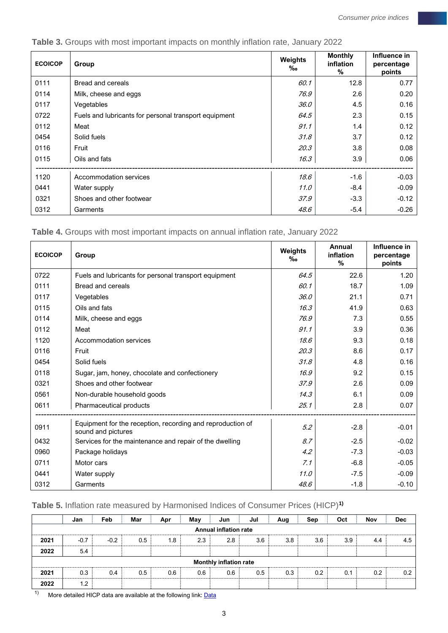| <b>ECOICOP</b> | Group                                                 | Weights<br>‰ | <b>Monthly</b><br>inflation<br>% | Influence in<br>percentage<br>points |
|----------------|-------------------------------------------------------|--------------|----------------------------------|--------------------------------------|
| 0111           | Bread and cereals                                     | 60.1         | 12.8                             | 0.77                                 |
| 0114           | Milk, cheese and eggs                                 | 76.9         | 2.6                              | 0.20                                 |
| 0117           | Vegetables                                            | <i>36.0</i>  | 4.5                              | 0.16                                 |
| 0722           | Fuels and lubricants for personal transport equipment | 64.5         | 2.3                              | 0.15                                 |
| 0112           | Meat                                                  | 91.1         | 1.4                              | 0.12                                 |
| 0454           | Solid fuels                                           | 31.8         | 3.7                              | 0.12                                 |
| 0116           | Fruit                                                 | 20.3         | 3.8                              | 0.08                                 |
| 0115           | Oils and fats                                         | 16.3         | 3.9                              | 0.06                                 |
| 1120           | Accommodation services                                | 18.6         | $-1.6$                           | $-0.03$                              |
| 0441           | Water supply                                          | 11.0         | $-8.4$                           | $-0.09$                              |
| 0321           | Shoes and other footwear                              | 37.9         | $-3.3$                           | $-0.12$                              |
| 0312           | Garments                                              | 48.6         | $-5.4$                           | $-0.26$                              |

**Table 3.** Groups with most important impacts on monthly inflation rate, January 2022

**Table 4.** Groups with most important impacts on annual inflation rate, January 2022

| <b>ECOICOP</b> | Group                                                                            | <b>Weights</b><br>$\%$ o | Annual<br>inflation<br>$\%$ | Influence in<br>percentage<br>points |
|----------------|----------------------------------------------------------------------------------|--------------------------|-----------------------------|--------------------------------------|
| 0722           | Fuels and lubricants for personal transport equipment                            | 64.5                     | 22.6                        | 1.20                                 |
| 0111           | Bread and cereals                                                                | 60.1                     | 18.7                        | 1.09                                 |
| 0117           | Vegetables                                                                       | 36.0                     | 21.1                        | 0.71                                 |
| 0115           | Oils and fats                                                                    | 16.3                     | 41.9                        | 0.63                                 |
| 0114           | Milk, cheese and eggs                                                            | 76.9                     | 7.3                         | 0.55                                 |
| 0112           | Meat                                                                             | 91.1                     | 3.9                         | 0.36                                 |
| 1120           | Accommodation services                                                           | 18.6                     | 9.3                         | 0.18                                 |
| 0116           | Fruit                                                                            | 20.3                     | 8.6                         | 0.17                                 |
| 0454           | Solid fuels                                                                      | 31.8                     | 4.8                         | 0.16                                 |
| 0118           | Sugar, jam, honey, chocolate and confectionery                                   | 16.9                     | 9.2                         | 0.15                                 |
| 0321           | Shoes and other footwear                                                         | 37.9                     | 2.6                         | 0.09                                 |
| 0561           | Non-durable household goods                                                      | 14.3                     | 6.1                         | 0.09                                 |
| 0611           | Pharmaceutical products                                                          | 25.1                     | 2.8                         | 0.07                                 |
| 0911           | Equipment for the reception, recording and reproduction of<br>sound and pictures | 5.2                      | $-2.8$                      | $-0.01$                              |
| 0432           | Services for the maintenance and repair of the dwelling                          | 8.7                      | $-2.5$                      | $-0.02$                              |
| 0960           | Package holidays                                                                 | 4.2                      | $-7.3$                      | $-0.03$                              |
| 0711           | Motor cars                                                                       | 7.1                      | $-6.8$                      | $-0.05$                              |
| 0441           | Water supply                                                                     | 11.0                     | $-7.5$                      | $-0.09$                              |
| 0312           | Garments                                                                         | 48.6                     | $-1.8$                      | $-0.10$                              |

### **Table 5.** Inflation rate measured by Harmonised Indices of Consumer Prices (HICP)**1)**

|                              | Jan                           | Feb    | Mar | Apr | May | Jun | Jul | Aug | Sep | Oct | Nov | <b>Dec</b> |
|------------------------------|-------------------------------|--------|-----|-----|-----|-----|-----|-----|-----|-----|-----|------------|
| <b>Annual inflation rate</b> |                               |        |     |     |     |     |     |     |     |     |     |            |
| 2021                         | $-0.7$                        | $-0.2$ | 0.5 | 1.8 | 2.3 | 2.8 | 3.6 | 3.8 | 3.6 | 3.9 | 4.4 | 4.5        |
| 2022                         | 5.4                           |        |     |     |     |     |     |     |     |     |     |            |
|                              | <b>Monthly inflation rate</b> |        |     |     |     |     |     |     |     |     |     |            |
| 2021                         | 0.3                           | 0.4    | 0.5 | 0.6 | 0.6 | 0.6 | 0.5 | 0.3 | 0.2 | 0.1 | 0.2 | 0.2        |
| 2022                         | 1.2                           |        |     |     |     |     |     |     |     |     |     |            |

 $1)$  More detailed HICP data are available at the following link:  $\overline{\text{Data}}$  $\overline{\text{Data}}$  $\overline{\text{Data}}$